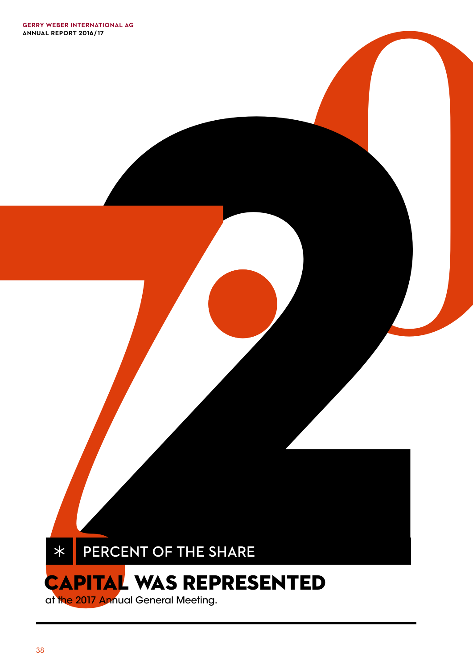

**.**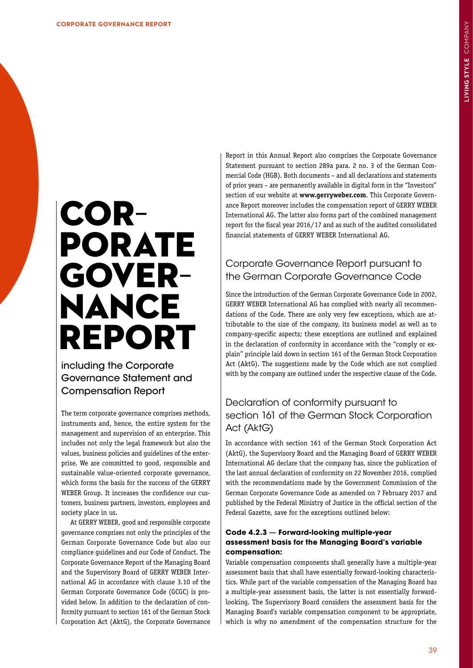# **CORPLESS**<br> **CORPLESS**<br> **CORPLESS**<br> **CORPLESS**<br> **CORPLESS**<br> **CORPLESS**<br> **CORPLESS**<br> **CORPLESS**<br> **CORPLESS**<br> **CORPLESS**<br> **CORPLESS**<br> **CORPLESS**<br> **CORPLESS**<br> **CORPLESS**<br> **CORPLESS**<br> **CORPLESS**<br> **CORPLESS**<br> **CORPLESS**<br> **CORPL** GOVER-<br>NANCE REPORT

**.0**

including the Corporate Governance Statement and Compensation Report

The term corporate governance comprises methods, instruments and, hence, the entire system for the management and supervision of an enterprise. This includes not only the legal framework but also the values, business policies and guidelines of the enterprise. We are committed to good, responsible and sustainable value-oriented corporate governance, which forms the basis for the success of the GERRY WEBER Group. It increases the confidence our customers, business partners, investors, employees and society place in us.

At GERRY WEBER, good and responsible corporate governance comprises not only the principles of the German Corporate Governance Code but also our compliance guidelines and our Code of Conduct. The Corporate Governance Report of the Managing Board and the Supervisory Board of GERRY WEBER International AG in accordance with clause 3.10 of the German Corporate Governance Code (GCGC) is provided below. In addition to the declaration of conformity pursuant to section 161 of the German Stock Corporation Act (AktG), the Corporate Governance

Report in this Annual Report also comprises the Corporate Governance Statement pursuant to section 289a para. 2 no. 3 of the German Commercial Code (HGB). Both documents – and all declarations and statements of prior years – are permanently available in digital form in the "Investors" section of our website at **www.gerryweber.com**. This Corporate Governance Report moreover includes the compensation report of GERRY WEBER International AG. The latter also forms part of the combined management report for the fiscal year 2016/17 and as such of the audited consolidated financial statements of GERRY WEBER International AG.

# Corporate Governance Report pursuant to the German Corporate Governance Code

Since the introduction of the German Corporate Governance Code in 2002, GERRY WEBER International AG has complied with nearly all recommendations of the Code. There are only very few exceptions, which are attributable to the size of the company, its business model as well as to company-specific aspects; these exceptions are outlined and explained in the declaration of conformity in accordance with the "comply or explain" principle laid down in section 161 of the German Stock Corporation Act (AktG). The suggestions made by the Code which are not complied with by the company are outlined under the respective clause of the Code.

# Declaration of conformity pursuant to section 161 of the German Stock Corporation Act (AktG)

In accordance with section 161 of the German Stock Corporation Act (AktG), the Supervisory Board and the Managing Board of GERRY WEBER International AG declare that the company has, since the publication of the last annual declaration of conformity on 22 November 2016, complied with the recommendations made by the Government Commission of the German Corporate Governance Code as amended on 7 February 2017 and published by the Federal Ministry of Justice in the official section of the Federal Gazette, save for the exceptions outlined below:

# **Code 4.2.3** — **Forward-looking multiple-year assessment basis for the Managing Board's variable compensation:**

Variable compensation components shall generally have a multiple-year assessment basis that shall have essentially forward-looking characteristics. While part of the variable compensation of the Managing Board has a multiple-year assessment basis, the latter is not essentially forwardlooking. The Supervisory Board considers the assessment basis for the Managing Board's variable compensation component to be appropriate, which is why no amendment of the compensation structure for the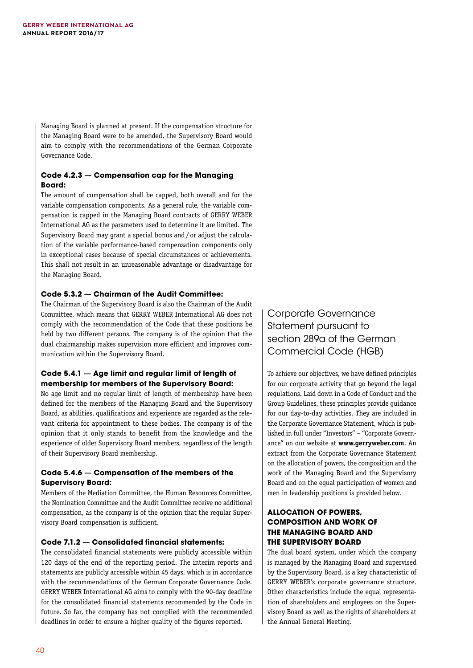Managing Board is planned at present. If the compensation structure for the Managing Board were to be amended, the Supervisory Board would aim to comply with the recommendations of the German Corporate Governance Code.

## **Code 4.2.3** — **Compensation cap for the Managing Board:**

The amount of compensation shall be capped, both overall and for the variable compensation components. As a general rule, the variable compensation is capped in the Managing Board contracts of GERRY WEBER International AG as the parameters used to determine it are limited. The Supervisory Board may grant a special bonus and/or adjust the calculation of the variable performance-based compensation components only in exceptional cases because of special circumstances or achievements. This shall not result in an unreasonable advantage or disadvantage for the Managing Board.

### **Code 5.3.2** — **Chairman of the Audit Committee:**

The Chairman of the Supervisory Board is also the Chairman of the Audit Committee, which means that GERRY WEBER International AG does not comply with the recommendation of the Code that these positions be held by two different persons. The company is of the opinion that the dual chairmanship makes supervision more efficient and improves communication within the Supervisory Board.

### **Code 5.4.1** — **Age limit and regular limit of length of membership for members of the Supervisory Board:**

No age limit and no regular limit of length of membership have been defined for the members of the Managing Board and the Supervisory Board, as abilities, qualifications and experience are regarded as the relevant criteria for appointment to these bodies. The company is of the opinion that it only stands to benefit from the knowledge and the experience of older Supervisory Board members, regardless of the length of their Supervisory Board membership.

## **Code 5.4.6** — **Compensation of the members of the Supervisory Board:**

Members of the Mediation Committee, the Human Resources Committee, the Nomination Committee and the Audit Committee receive no additional compensation, as the company is of the opinion that the regular Supervisory Board compensation is sufficient.

# **Code 7.1.2** — **Consolidated financial statements:**

The consolidated financial statements were publicly accessible within 120 days of the end of the reporting period. The interim reports and statements are publicly accessible within 45 days, which is in accordance with the recommendations of the German Corporate Governance Code. GERRY WEBER International AG aims to comply with the 90-day deadline for the consolidated financial statements recommended by the Code in future. So far, the company has not complied with the recommended deadlines in order to ensure a higher quality of the figures reported.

Corporate Governance Statement pursuant to section 289a of the German Commercial Code (HGB)

To achieve our objectives, we have defined principles for our corporate activity that go beyond the legal regulations. Laid down in a Code of Conduct and the Group Guidelines, these principles provide guidance for our day-to-day activities. They are included in the Corporate Governance Statement, which is published in full under "Investors" – "Corporate Governance" on our website at **www.gerryweber.com**. An extract from the Corporate Governance Statement on the allocation of powers, the composition and the work of the Managing Board and the Supervisory Board and on the equal participation of women and men in leadership positions is provided below.

### **ALLOCATION OF POWERS, COMPOSITION AND WORK OF THE MANAGING BOARD AND THE SUPERVISORY BOARD**

The dual board system, under which the company is managed by the Managing Board and supervised by the Supervisory Board, is a key characteristic of GERRY WEBER's corporate governance structure. Other characteristics include the equal representation of shareholders and employees on the Supervisory Board as well as the rights of shareholders at the Annual General Meeting.